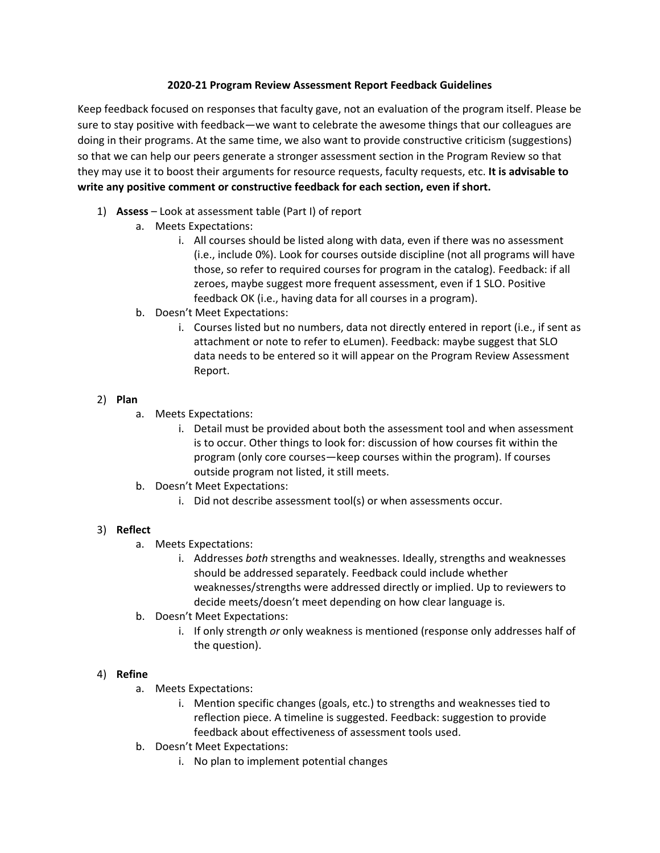### **2020-21 Program Review Assessment Report Feedback Guidelines**

Keep feedback focused on responses that faculty gave, not an evaluation of the program itself. Please be sure to stay positive with feedback—we want to celebrate the awesome things that our colleagues are doing in their programs. At the same time, we also want to provide constructive criticism (suggestions) so that we can help our peers generate a stronger assessment section in the Program Review so that they may use it to boost their arguments for resource requests, faculty requests, etc. **It is advisable to write any positive comment or constructive feedback for each section, even if short.**

- 1) **Assess** Look at assessment table (Part I) of report
	- a. Meets Expectations:
		- i. All courses should be listed along with data, even if there was no assessment (i.e., include 0%). Look for courses outside discipline (not all programs will have those, so refer to required courses for program in the catalog). Feedback: if all zeroes, maybe suggest more frequent assessment, even if 1 SLO. Positive feedback OK (i.e., having data for all courses in a program).
	- b. Doesn't Meet Expectations:
		- i. Courses listed but no numbers, data not directly entered in report (i.e., if sent as attachment or note to refer to eLumen). Feedback: maybe suggest that SLO data needs to be entered so it will appear on the Program Review Assessment Report.

# 2) **Plan**

- a. Meets Expectations:
	- i. Detail must be provided about both the assessment tool and when assessment is to occur. Other things to look for: discussion of how courses fit within the program (only core courses—keep courses within the program). If courses outside program not listed, it still meets.
- b. Doesn't Meet Expectations:
	- i. Did not describe assessment tool(s) or when assessments occur.

# 3) **Reflect**

- a. Meets Expectations:
	- i. Addresses *both* strengths and weaknesses. Ideally, strengths and weaknesses should be addressed separately. Feedback could include whether weaknesses/strengths were addressed directly or implied. Up to reviewers to decide meets/doesn't meet depending on how clear language is.
- b. Doesn't Meet Expectations:
	- i. If only strength *or* only weakness is mentioned (response only addresses half of the question).

# 4) **Refine**

- a. Meets Expectations:
	- i. Mention specific changes (goals, etc.) to strengths and weaknesses tied to reflection piece. A timeline is suggested. Feedback: suggestion to provide feedback about effectiveness of assessment tools used.
- b. Doesn't Meet Expectations:
	- i. No plan to implement potential changes